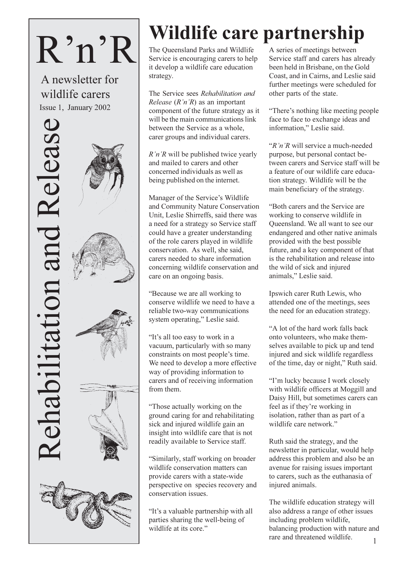# $R'n'R$

A newsletter for wildlife carers Issue 1, January 2002







# Wildlife care partnership

The Oueensland Parks and Wildlife Service is encouraging carers to help it develop a wildlife care education strategy.

The Service sees Rehabilitation and *Release*  $(R'n'R)$  as an important component of the future strategy as it will be the main communications link between the Service as a whole. carer groups and individual carers.

 $R'n'R$  will be published twice yearly and mailed to carers and other concerned individuals as well as being published on the internet.

Manager of the Service's Wildlife and Community Nature Conservation Unit, Leslie Shirreffs, said there was a need for a strategy so Service staff could have a greater understanding of the role carers played in wildlife conservation. As well, she said. carers needed to share information concerning wildlife conservation and care on an ongoing basis.

"Because we are all working to conserve wildlife we need to have a reliable two-way communications system operating," Leslie said.

"It's all too easy to work in a vacuum, particularly with so many constraints on most people's time. We need to develop a more effective way of providing information to carers and of receiving information from them.

"Those actually working on the ground caring for and rehabilitating sick and injured wildlife gain an insight into wildlife care that is not readily available to Service staff.

"Similarly, staff working on broader wildlife conservation matters can provide carers with a state-wide perspective on species recovery and conservation issues.

"It's a valuable partnership with all parties sharing the well-being of wildlife at its core."

A series of meetings between Service staff and carers has already been held in Brisbane, on the Gold Coast, and in Cairns, and Leslie said further meetings were scheduled for other parts of the state.

"There's nothing like meeting people" face to face to exchange ideas and information," Leslie said.

"R'n'R will service a much-needed purpose, but personal contact between carers and Service staff will be a feature of our wildlife care education strategy. Wildlife will be the main beneficiary of the strategy.

"Both carers and the Service are working to conserve wildlife in Queensland. We all want to see our endangered and other native animals provided with the best possible future, and a key component of that is the rehabilitation and release into the wild of sick and injured animals," Leslie said.

Ipswich carer Ruth Lewis, who attended one of the meetings, sees the need for an education strategy.

"A lot of the hard work falls back onto volunteers, who make themselves available to pick up and tend injured and sick wildlife regardless of the time, day or night," Ruth said.

"I'm lucky because I work closely with wildlife officers at Moggill and Daisy Hill, but sometimes carers can feel as if they're working in isolation, rather than as part of a wildlife care network."

Ruth said the strategy, and the newsletter in particular, would help address this problem and also be an avenue for raising issues important to carers, such as the euthanasia of injured animals.

The wildlife education strategy will also address a range of other issues including problem wildlife, balancing production with nature and rare and threatened wildlife.  $\mathbf{1}$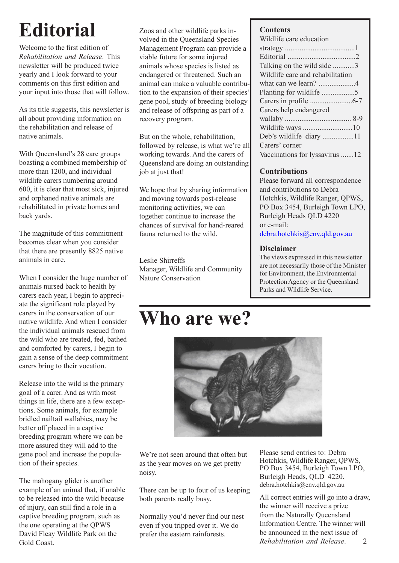# **Editorial**

Welcome to the first edition of Rehabilitation and Release. This newsletter will be produced twice yearly and I look forward to your comments on this first edition and your input into those that will follow.

As its title suggests, this newsletter is all about providing information on the rehabilitation and release of native animals

With Queensland's 28 care groups boasting a combined membership of more than 1200, and individual wildlife carers numbering around 600, it is clear that most sick, injured and orphaned native animals are rehabilitated in private homes and back yards.

The magnitude of this commitment becomes clear when you consider that there are presently 8825 native animals in care.

When I consider the huge number of animals nursed back to health by carers each year, I begin to appreciate the significant role played by carers in the conservation of our native wildlife And when I consider the individual animals rescued from the wild who are treated, fed, bathed and comforted by carers, I begin to gain a sense of the deep commitment carers bring to their vocation.

Release into the wild is the primary goal of a carer. And as with most things in life, there are a few exceptions. Some animals, for example bridled nailtail wallabies, may be better off placed in a captive breeding program where we can be more assured they will add to the gene pool and increase the population of their species.

The mahogany glider is another example of an animal that, if unable to be released into the wild because of injury, can still find a role in a captive breeding program, such as the one operating at the QPWS David Fleav Wildlife Park on the Gold Coast.

Zoos and other wildlife parks involved in the Queensland Species Management Program can provide a viable future for some injured animals whose species is listed as endangered or threatened. Such an animal can make a valuable contribution to the expansion of their species' gene pool, study of breeding biology and release of offspring as part of a recovery program.

But on the whole, rehabilitation, followed by release, is what we're all working towards. And the carers of Oueensland are doing an outstanding job at just that!

We hope that by sharing information and moving towards post-release monitoring activities, we can together continue to increase the chances of survival for hand-reared fauna returned to the wild.

Leslie Shirreffs Manager, Wildlife and Community Nature Conservation

### Who are we?



We're not seen around that often but as the year moves on we get pretty noisy.

There can be up to four of us keeping both parents really busy.

Normally you'd never find our nest even if you tripped over it. We do prefer the eastern rainforests.

Please send entries to: Debra Hotchkis, Wildlife Ranger, OPWS, PO Box 3454, Burleigh Town LPO, Burleigh Heads, QLD 4220. debra.hotchkis@env.qld.gov.au

All correct entries will go into a draw, the winner will receive a prize from the Naturally Queensland Information Centre. The winner will be announced in the next issue of Rehabilitation and Release.  $\overline{2}$ 

#### **Contents**

| Wildlife care education          |
|----------------------------------|
|                                  |
|                                  |
| Talking on the wild side 3       |
| Wildlife care and rehabilitation |
|                                  |
| Planting for wildlife 5          |
|                                  |
| Carers help endangered           |
|                                  |
|                                  |
| Deb's wildlife diary 11          |
| Carers' corner                   |
| Vaccinations for lyssavirus 12   |

#### **Contributions**

Please forward all correspondence and contributions to Debra Hotchkis, Wildlife Ranger, QPWS, PO Box 3454, Burleigh Town LPO, Burleigh Heads QLD 4220 or e-mail:

debra.hotchkis@env.qld.gov.au

#### **Disclaimer**

The views expressed in this newsletter are not necessarily those of the Minister for Environment, the Environmental Protection Agency or the Oueensland Parks and Wildlife Service.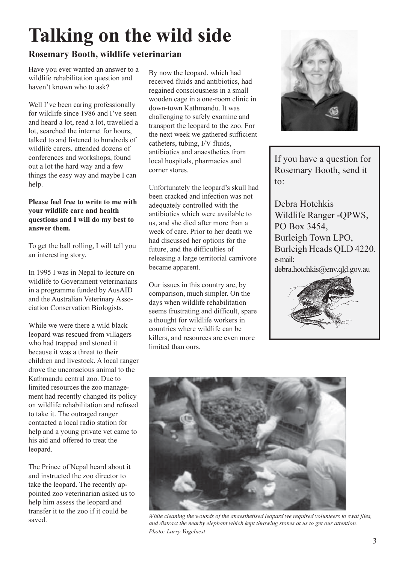# **Talking on the wild side**

#### Rosemary Booth, wildlife veterinarian

Have you ever wanted an answer to a wildlife rehabilitation question and haven't known who to ask?

Well I've been caring professionally for wildlife since 1986 and I've seen and heard a lot, read a lot, travelled a lot, searched the internet for hours. talked to and listened to hundreds of wildlife carers, attended dozens of conferences and workshops, found out a lot the hard way and a few things the easy way and maybe I can help.

#### Please feel free to write to me with your wildlife care and health questions and I will do my best to answer them.

To get the ball rolling, I will tell you an interesting story.

In 1995 I was in Nepal to lecture on wildlife to Government veterinarians in a programme funded by AusAID and the Australian Veterinary Association Conservation Biologists.

While we were there a wild black leopard was rescued from villagers who had trapped and stoned it because it was a threat to their children and livestock. A local ranger drove the unconscious animal to the Kathmandu central zoo. Due to limited resources the zoo management had recently changed its policy on wildlife rehabilitation and refused to take it. The outraged ranger contacted a local radio station for help and a young private vet came to his aid and offered to treat the leopard.

The Prince of Nepal heard about it and instructed the zoo director to take the leopard. The recently appointed zoo veterinarian asked us to help him assess the leopard and transfer it to the zoo if it could be saved.

By now the leopard, which had received fluids and antibiotics, had regained consciousness in a small wooden cage in a one-room clinic in down-town Kathmandu. It was challenging to safely examine and transport the leopard to the zoo. For the next week we gathered sufficient catheters, tubing, I/V fluids, antibiotics and anaesthetics from local hospitals, pharmacies and corner stores.

Unfortunately the leopard's skull had been cracked and infection was not adequately controlled with the antibiotics which were available to us, and she died after more than a week of care. Prior to her death we had discussed her options for the future, and the difficulties of releasing a large territorial carnivore became apparent.

Our issues in this country are, by comparison, much simpler. On the days when wildlife rehabilitation seems frustrating and difficult, spare a thought for wildlife workers in countries where wildlife can be killers, and resources are even more limited than ours.



If you have a question for Rosemary Booth, send it  $\mathfrak{to}$ :

Debra Hotchkis Wildlife Ranger -OPWS, PO Box 3454, Burleigh Town LPO, Burleigh Heads OLD 4220. e-mail: debra.hotchkis@env.qld.gov.au





While cleaning the wounds of the anaesthetised leopard we required volunteers to swat flies, and distract the nearby elephant which kept throwing stones at us to get our attention. Photo: Larry Vogelnest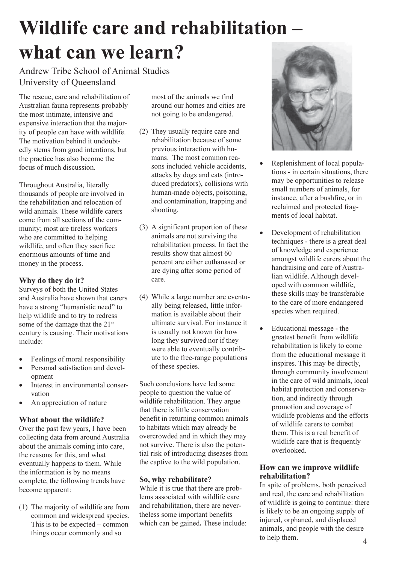# Wildlife care and rehabilitation what can we learn?

#### Andrew Tribe School of Animal Studies University of Queensland

The rescue, care and rehabilitation of Australian fauna represents probably the most intimate, intensive and expensive interaction that the majority of people can have with wildlife. The motivation behind it undoubtedly stems from good intentions, but the practice has also become the focus of much discussion.

Throughout Australia, literally thousands of people are involved in the rehabilitation and relocation of wild animals. These wildlife carers come from all sections of the community; most are tireless workers who are committed to helping wildlife, and often they sacrifice enormous amounts of time and money in the process.

#### Why do they do it?

Surveys of both the United States and Australia have shown that carers have a strong "humanistic need" to help wildlife and to try to redress some of the damage that the 21<sup>st</sup> century is causing. Their motivations include:

- Feelings of moral responsibility  $\bullet$
- Personal satisfaction and devel- $\bullet$ opment Interest in environmental conser- $\bullet$
- vation
- An appreciation of nature

#### What about the wildlife?

Over the past few years, I have been collecting data from around Australia about the animals coming into care. the reasons for this, and what eventually happens to them. While the information is by no means complete, the following trends have become apparent:

(1) The majority of wildlife are from common and widespread species. This is to be expected  $-$  common things occur commonly and so

most of the animals we find around our homes and cities are not going to be endangered.

- (2) They usually require care and rehabilitation because of some previous interaction with humans. The most common reasons included vehicle accidents. attacks by dogs and cats (introduced predators), collisions with human-made objects, poisoning, and contamination, trapping and shooting.
- (3) A significant proportion of these animals are not surviving the rehabilitation process. In fact the results show that almost 60 percent are either euthanased or are dying after some period of care.
- (4) While a large number are eventually being released, little information is available about their ultimate survival. For instance it is usually not known for how long they survived nor if they were able to eventually contribute to the free-range populations of these species.

Such conclusions have led some people to question the value of wildlife rehabilitation. They argue that there is little conservation benefit in returning common animals to habitats which may already be overcrowded and in which they may not survive. There is also the potential risk of introducing diseases from the captive to the wild population.

#### So, why rehabilitate?

While it is true that there are problems associated with wildlife care and rehabilitation, there are nevertheless some important benefits which can be gained. These include:



- Replenishment of local populations - in certain situations, there may be opportunities to release small numbers of animals, for instance, after a bushfire, or in reclaimed and protected fragments of local habitat.
- Development of rehabilitation techniques - there is a great deal of knowledge and experience amongst wildlife carers about the handraising and care of Australian wildlife. Although developed with common wildlife, these skills may be transferable to the care of more endangered species when required.
- Educational message the greatest benefit from wildlife rehabilitation is likely to come from the educational message it inspires. This may be directly, through community involvement in the care of wild animals, local habitat protection and conservation, and indirectly through promotion and coverage of wildlife problems and the efforts of wildlife carers to combat them. This is a real benefit of wildlife care that is frequently overlooked.

#### How can we improve wildlife rehabilitation?

In spite of problems, both perceived and real, the care and rehabilitation of wildlife is going to continue: there is likely to be an ongoing supply of injured, orphaned, and displaced animals, and people with the desire to help them.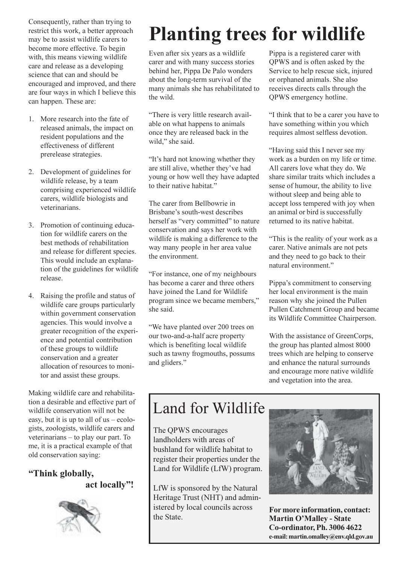Consequently, rather than trying to restrict this work, a better approach may be to assist wildlife carers to become more effective. To begin with, this means viewing wildlife care and release as a developing science that can and should be encouraged and improved, and there are four ways in which I believe this can happen. These are:

- 1. More research into the fate of released animals, the impact on resident populations and the effectiveness of different prerelease strategies.
- 2. Development of guidelines for wildlife release, by a team comprising experienced wildlife carers, wildlife biologists and veterinarians
- 3. Promotion of continuing education for wildlife carers on the best methods of rehabilitation and release for different species. This would include an explanation of the guidelines for wildlife release.
- 4. Raising the profile and status of wildlife care groups particularly within government conservation agencies. This would involve a greater recognition of the experience and potential contribution of these groups to wildlife conservation and a greater allocation of resources to monitor and assist these groups.

Making wildlife care and rehabilitation a desirable and effective part of wildlife conservation will not be easy, but it is up to all of  $us - ecolor$ gists, zoologists, wildlife carers and veterinarians  $-$  to play our part. To me, it is a practical example of that old conservation saying:

"Think globally, act locally"!



# **Planting trees for wildlife**

Even after six years as a wildlife carer and with many success stories behind her, Pippa De Palo wonders about the long-term survival of the many animals she has rehabilitated to the wild.

"There is very little research available on what happens to animals once they are released back in the wild." she said.

"It's hard not knowing whether they are still alive, whether they've had young or how well they have adapted to their native habitat."

The carer from Bellbowrie in Brisbane's south-west describes herself as "very committed" to nature conservation and says her work with wildlife is making a difference to the way many people in her area value the environment.

"For instance, one of my neighbours has become a carer and three others have joined the Land for Wildlife program since we became members," she said.

"We have planted over 200 trees on our two-and-a-half acre property which is benefiting local wildlife such as tawny frogmouths, possums and gliders."

Pippa is a registered carer with OPWS and is often asked by the Service to help rescue sick, injured or orphaned animals. She also receives directs calls through the QPWS emergency hotline.

"I think that to be a carer you have to have something within you which requires almost selfless devotion.

"Having said this I never see my work as a burden on my life or time. All carers love what they do. We share similar traits which includes a sense of humour, the ability to live without sleep and being able to accept loss tempered with joy when an animal or bird is successfully returned to its native habitat.

"This is the reality of your work as a carer. Native animals are not pets and they need to go back to their natural environment"

Pippa's commitment to conserving her local environment is the main reason why she joined the Pullen Pullen Catchment Group and became its Wildlife Committee Chairperson.

With the assistance of GreenCorps, the group has planted almost 8000 trees which are helping to conserve and enhance the natural surrounds and encourage more native wildlife and vegetation into the area.

### Land for Wildlife

The OPWS encourages landholders with areas of bushland for wildlife habitat to register their properties under the Land for Wildlife (LfW) program.

LfW is sponsored by the Natural Heritage Trust (NHT) and administered by local councils across the State.



For more information, contact: **Martin O'Malley - State Co-ordinator, Ph. 3006 4622** e-mail: martin.omalley@env.qld.gov.au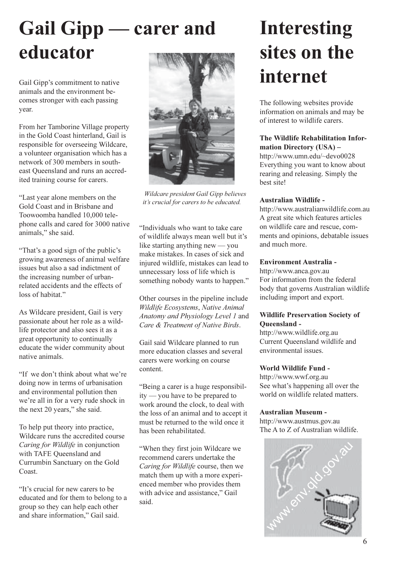# **Gail Gipp** — carer and educator

Gail Gipp's commitment to native animals and the environment becomes stronger with each passing vear.

From her Tamborine Village property in the Gold Coast hinterland, Gail is responsible for overseeing Wildcare, a volunteer organisation which has a network of 300 members in southeast Queensland and runs an accredited training course for carers.

"Last year alone members on the Gold Coast and in Brisbane and Toowoomba handled 10,000 telephone calls and cared for 3000 native animals," she said.

"That's a good sign of the public's growing awareness of animal welfare issues but also a sad indictment of the increasing number of urbanrelated accidents and the effects of loss of habitat."

As Wildcare president, Gail is very passionate about her role as a wildlife protector and also sees it as a great opportunity to continually educate the wider community about native animals.

"If we don't think about what we're doing now in terms of urbanisation and environmental pollution then we're all in for a very rude shock in the next 20 years," she said.

To help put theory into practice, Wildcare runs the accredited course Caring for Wildlife in conjunction with TAFE Queensland and Currumbin Sanctuary on the Gold Coast

"It's crucial for new carers to be educated and for them to belong to a group so they can help each other and share information," Gail said.



Wildcare president Gail Gipp believes it's crucial for carers to be educated.

"Individuals who want to take care of wildlife always mean well but it's like starting anything new — you make mistakes. In cases of sick and injured wildlife, mistakes can lead to unnecessary loss of life which is something nobody wants to happen."

Other courses in the pipeline include Wildlife Ecosystems, Native Animal Anatomy and Physiology Level 1 and Care & Treatment of Native Birds.

Gail said Wildcare planned to run more education classes and several carers were working on course content.

"Being a carer is a huge responsibility — you have to be prepared to work around the clock, to deal with the loss of an animal and to accept it must be returned to the wild once it has been rehabilitated.

"When they first join Wildcare we recommend carers undertake the Caring for Wildlife course, then we match them up with a more experienced member who provides them with advice and assistance," Gail said.

# **Interesting** sites on the internet

The following websites provide information on animals and may be of interest to wildlife carers

#### The Wildlife Rehabilitation Information Directory (USA) -

http://www.umn.edu/~devo0028 Everything you want to know about rearing and releasing. Simply the hest site!

#### **Australian Wildlife -**

http://www.australianwildlife.com.au A great site which features articles on wildlife care and rescue, comments and opinions, debatable issues and much more.

#### **Environment Australia -**

http://www.anca.gov.au For information from the federal body that governs Australian wildlife including import and export.

#### **Wildlife Preservation Society of** Oueensland -

http://www.wildlife.org.au Current Oueensland wildlife and environmental issues

#### **World Wildlife Fund -**

http://www.wwf.org.au See what's happening all over the world on wildlife related matters.

#### **Australian Museum -**

http://www.austmus.gov.au The A to Z of Australian wildlife.

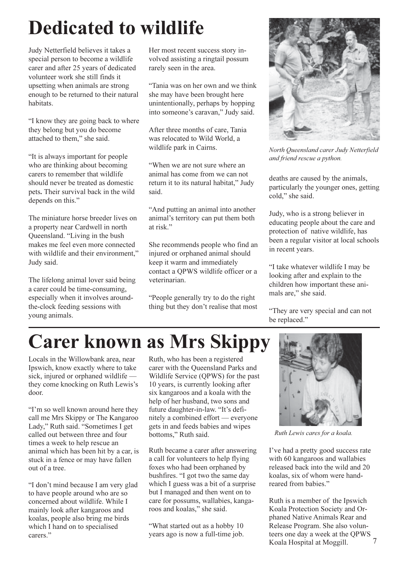# **Dedicated to wildlife**

Judy Netterfield believes it takes a special person to become a wildlife carer and after 25 years of dedicated volunteer work she still finds it upsetting when animals are strong enough to be returned to their natural habitats.

"I know they are going back to where they belong but you do become attached to them," she said.

"It is always important for people" who are thinking about becoming carers to remember that wildlife should never be treated as domestic pets. Their survival back in the wild depends on this."

The miniature horse breeder lives on a property near Cardwell in north Queensland. "Living in the bush makes me feel even more connected with wildlife and their environment," Judy said.

The lifelong animal lover said being a carer could be time-consuming, especially when it involves aroundthe-clock feeding sessions with voung animals.

Her most recent success story involved assisting a ringtail possum rarely seen in the area.

"Tania was on her own and we think she may have been brought here unintentionally, perhaps by hopping into someone's caravan," Judy said.

After three months of care, Tania was relocated to Wild World, a wildlife park in Cairns.

"When we are not sure where an animal has come from we can not return it to its natural habitat," Judy said.

"And putting an animal into another animal's territory can put them both at risk."

She recommends people who find an injured or orphaned animal should keep it warm and immediately contact a OPWS wildlife officer or a veterinarian.

"People generally try to do the right" thing but they don't realise that most



North Oueensland carer Judy Netterfield and friend rescue a python.

deaths are caused by the animals, particularly the younger ones, getting cold," she said.

Judy, who is a strong believer in educating people about the care and protection of native wildlife, has been a regular visitor at local schools in recent years.

"I take whatever wildlife I may be looking after and explain to the children how important these animals are," she said.

"They are very special and can not be replaced."

### **Carer known as Mrs Skippy**

Locals in the Willowbank area, near Ipswich, know exactly where to take sick, injured or orphaned wildlife they come knocking on Ruth Lewis's door.

"I'm so well known around here they call me Mrs Skippy or The Kangaroo Lady," Ruth said. "Sometimes I get called out between three and four times a week to help rescue an animal which has been hit by a car, is stuck in a fence or may have fallen out of a tree.

"I don't mind because I am very glad to have people around who are so concerned about wildlife. While I mainly look after kangaroos and koalas, people also bring me birds which I hand on to specialised carers."

Ruth, who has been a registered carer with the Oueensland Parks and Wildlife Service (QPWS) for the past 10 years, is currently looking after six kangaroos and a koala with the help of her husband, two sons and future daughter-in-law. "It's definitely a combined effort — everyone gets in and feeds babies and wipes bottoms," Ruth said.

Ruth became a carer after answering a call for volunteers to help flying foxes who had been orphaned by bushfires. "I got two the same day which I guess was a bit of a surprise but I managed and then went on to care for possums, wallabies, kangaroos and koalas," she said.

"What started out as a hobby 10 years ago is now a full-time job.



Ruth Lewis cares for a koala.

I've had a pretty good success rate with 60 kangaroos and wallabies released back into the wild and 20 koalas, six of whom were handreared from babies."

Ruth is a member of the Ipswich Koala Protection Society and Orphaned Native Animals Rear and Release Program. She also volunteers one day a week at the QPWS Koala Hospital at Moggill.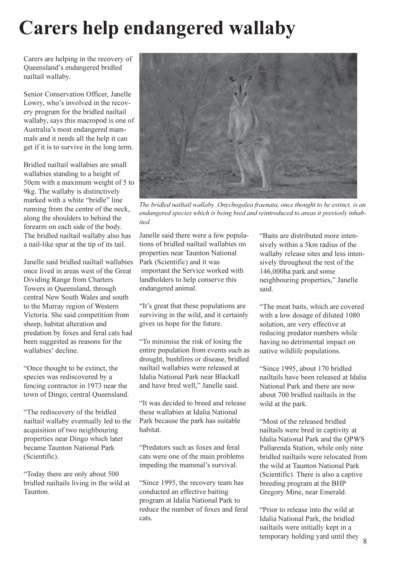### **Carers help endangered wallaby**

Carers are helping in the recovery of Queensland's endangered bridled nailtail wallaby.

Senior Conservation Officer, Janelle Lowry, who's involved in the recovery program for the bridled nailtail wallaby, says this macropod is one of Australia's most endangered mammals and it needs all the help it can get if it is to survive in the long term.

Bridled nailtail wallabies are small wallabies standing to a height of 50cm with a maximum weight of 5 to 9kg. The wallaby is distinctively marked with a white "bridle" line running from the centre of the neck, along the shoulders to behind the forearm on each side of the body. The bridled nailtail wallaby also has a nail-like spur at the tip of its tail.

Janelle said bridled nailtail wallabies once lived in areas west of the Great Dividing Range from Charters Towers in Queensland, through central New South Wales and south to the Murray region of Western Victoria. She said competition from sheep, habitat alteration and predation by foxes and feral cats had been suggested as reasons for the wallabies' decline.

"Once thought to be extinct, the species was rediscovered by a fencing contractor in 1973 near the town of Dingo, central Oueensland.

"The rediscovery of the bridled" nailtail wallaby eventually led to the acquisition of two neighbouring properties near Dingo which later became Taunton National Park (Scientific).

"Today there are only about 500 bridled nailtails living in the wild at Taunton.



The bridled nailtail wallaby, Onychogalea fraenata, once thought to be extinct, is an endangered species which is being bred and reintroduced to areas it previosly inhab*ited* 

Janelle said there were a few populations of bridled nailtail wallabies on properties near Taunton National Park (Scientific) and it was important the Service worked with landholders to help conserve this endangered animal.

"It's great that these populations are surviving in the wild, and it certainly gives us hope for the future.

"To minimise the risk of losing the entire population from events such as drought, bushfires or disease, bridled nailtail wallabies were released at Idalia National Park near Blackall and have bred well," Janelle said.

"It was decided to breed and release" these wallabies at Idalia National Park because the park has suitable habitat.

"Predators such as foxes and feral cats were one of the main problems impeding the mammal's survival.

"Since 1995, the recovery team has conducted an effective baiting program at Idalia National Park to reduce the number of foxes and feral cats

"Baits are distributed more intensively within a 5km radius of the wallaby release sites and less intensively throughout the rest of the 146,000ha park and some neighbouring properties," Janelle said.

"The meat baits, which are covered with a low dosage of diluted 1080 solution, are very effective at reducing predator numbers while having no detrimental impact on native wildlife populations.

"Since 1995, about 170 bridled nailtails have been released at Idalia National Park and there are now about 700 bridled nailtails in the wild at the park.

"Most of the released bridled nailtails were bred in captivity at Idalia National Park and the QPWS Pallarenda Station, while only nine bridled nailtails were relocated from the wild at Taunton National Park (Scientific). There is also a captive breeding program at the BHP Gregory Mine, near Emerald.

"Prior to release into the wild at Idalia National Park, the bridled nailtails were initially kept in a temporary holding yard until they  $\frac{8}{3}$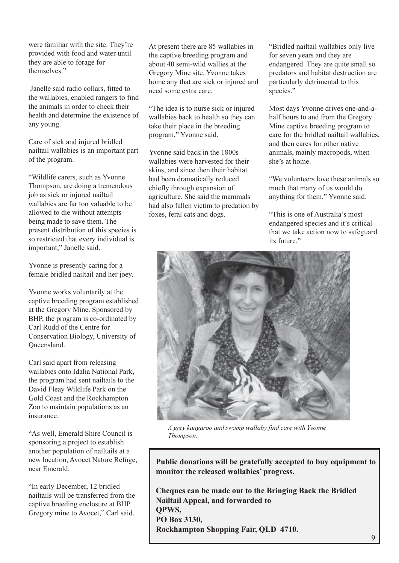were familiar with the site. They're provided with food and water until they are able to forage for themselves."

Janelle said radio collars, fitted to the wallabies, enabled rangers to find the animals in order to check their health and determine the existence of any young.

Care of sick and injured bridled nailtail wallabies is an important part of the program.

"Wildlife carers, such as Yvonne Thompson, are doing a tremendous job as sick or injured nailtail wallabies are far too valuable to be allowed to die without attempts being made to save them. The present distribution of this species is so restricted that every individual is important," Janelle said.

Yvonne is presently caring for a female bridled nailtail and her joey.

Yvonne works voluntarily at the captive breeding program established at the Gregory Mine. Sponsored by BHP, the program is co-ordinated by Carl Rudd of the Centre for Conservation Biology, University of Oueensland.

Carl said apart from releasing wallabies onto Idalia National Park, the program had sent nailtails to the David Fleay Wildlife Park on the Gold Coast and the Rockhampton Zoo to maintain populations as an insurance

"As well, Emerald Shire Council is sponsoring a project to establish another population of nailtails at a new location, Avocet Nature Refuge, near Emerald.

"In early December, 12 bridled nailtails will be transferred from the captive breeding enclosure at BHP Gregory mine to Avocet," Carl said.

At present there are 85 wallabies in the captive breeding program and about 40 semi-wild wallies at the Gregory Mine site. Yvonne takes home any that are sick or injured and need some extra care.

"The idea is to nurse sick or injured" wallabies back to health so they can take their place in the breeding program," Yvonne said.

Yvonne said back in the 1800s wallabies were harvested for their skins, and since then their habitat had been dramatically reduced chiefly through expansion of agriculture. She said the mammals had also fallen victim to predation by foxes, feral cats and dogs.

"Bridled nailtail wallabies only live for seven years and they are endangered. They are quite small so predators and habitat destruction are particularly detrimental to this species."

Most days Yvonne drives one-and-ahalf hours to and from the Gregory Mine captive breeding program to care for the bridled nailtail wallabies. and then cares for other native animals, mainly macropods, when she's at home.

"We volunteers love these animals so much that many of us would do anything for them," Yvonne said.

"This is one of Australia's most endangered species and it's critical that we take action now to safeguard its future."



A grey kangaroo and swamp wallaby find care with Yvonne Thompson.

Public donations will be gratefully accepted to buy equipment to monitor the released wallabies' progress.

Cheques can be made out to the Bringing Back the Bridled Nailtail Appeal, and forwarded to **OPWS,** PO Box 3130, Rockhampton Shopping Fair, QLD 4710.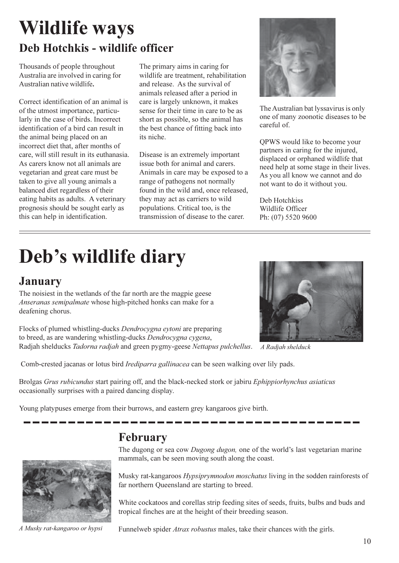### **Wildlife ways** Deb Hotchkis - wildlife officer

Thousands of people throughout Australia are involved in caring for Australian native wildlife.

Correct identification of an animal is of the utmost importance, particularly in the case of birds. Incorrect identification of a bird can result in the animal being placed on an incorrect diet that, after months of care, will still result in its euthanasia. As carers know not all animals are vegetarian and great care must be taken to give all young animals a balanced diet regardless of their eating habits as adults. A veterinary prognosis should be sought early as this can help in identification.

The primary aims in caring for wildlife are treatment, rehabilitation and release. As the survival of animals released after a period in care is largely unknown, it makes sense for their time in care to be as short as possible, so the animal has the best chance of fitting back into its niche

Disease is an extremely important issue both for animal and carers. Animals in care may be exposed to a range of pathogens not normally found in the wild and, once released, they may act as carriers to wild populations. Critical too, is the transmission of disease to the carer.



The Australian bat lyssavirus is only one of many zoonotic diseases to be careful of.

QPWS would like to become your partners in caring for the injured, displaced or orphaned wildlife that need help at some stage in their lives. As you all know we cannot and do not want to do it without you.

Deb Hotchkiss Wildlife Officer Ph: (07) 5520 9600

# Deb's wildlife diary

### **January**

The noisiest in the wetlands of the far north are the magpie geese Anseranas semipalmate whose high-pitched honks can make for a deafening chorus.

Flocks of plumed whistling-ducks Dendrocygna eytoni are preparing to breed, as are wandering whistling-ducks Dendrocygna cygena, Radjah shelducks Tadorna radjah and green pygmy-geese Nettapus pulchellus.

Comb-crested jacanas or lotus bird Irediparra gallinacea can be seen walking over lily pads.

Brolgas Grus rubicundus start pairing off, and the black-necked stork or jabiru Ephippiorhynchus asiaticus occasionally surprises with a paired dancing display.

Young platypuses emerge from their burrows, and eastern grey kangaroos give birth.



A Musky rat-kangaroo or hypsi

### February

The dugong or sea cow Dugong dugon, one of the world's last vegetarian marine mammals, can be seen moving south along the coast.

Musky rat-kangaroos *Hypsiprymnodon moschatus* living in the sodden rainforests of far northern Queensland are starting to breed.

White cockatoos and corellas strip feeding sites of seeds, fruits, bulbs and buds and tropical finches are at the height of their breeding season.

Funnelweb spider *Atrax robustus* males, take their chances with the girls.



A Radjah shelduck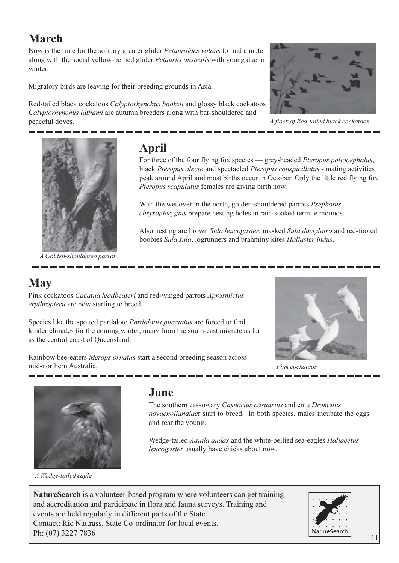### March

Now is the time for the solitary greater glider *Petauroides volans* to find a mate along with the social yellow-bellied glider *Petaurus australis* with young due in winter.

Migratory birds are leaving for their breeding grounds in Asia.

Red-tailed black cockatoos Calyptorhynchus banksii and glossy black cockatoos Calvptorhynchus lathami are autumn breeders along with bar-shouldered and peaceful doves.



A flock of Red-tailed black cockatoos



A Golden-shouldered parrot

### **April**

For three of the four flying fox species — grey-headed Pteropus poliocephalus, black Pteropus alecto and spectacled Pteropus conspicillatus - mating activities peak around April and most births occur in October. Only the little red flying fox Pteropus scapulatus females are giving birth now.

With the wet over in the north, golden-shouldered parrots *Psephotus chrysopterygius* prepare nesting holes in rain-soaked termite mounds.

Also nesting are brown Sula leucogaster, masked Sula dactylatra and red-footed boobies Sula sula, logrunners and brahminy kites Haliaster indus.

### **May**

Pink cockatoos Cacatua leadbeateri and red-winged parrots Aprosmictus erythropteru are now starting to breed.

Species like the spotted pardalote *Pardalotus punctatus* are forced to find kinder climates for the coming winter, many from the south-east migrate as far as the central coast of Oueensland.

Rainbow bee-eaters Merops ornatus start a second breeding season across mid-northern Australia.



Pink cockatoos



A Wedge-tailed eagle

### June

The southern cassowary Casuarius casuarius and emu Dromaius novaehollandiaer start to breed. In both species, males incubate the eggs and rear the young.

Wedge-tailed Aquila audax and the white-bellied sea-eagles Haliaeetus leucogaster usually have chicks about now.

**NatureSearch** is a volunteer-based program where volunteers can get training and accreditation and participate in flora and fauna surveys. Training and events are held regularly in different parts of the State. Contact: Ric Nattrass, State Co-ordinator for local events. Ph: (07) 3227 7836